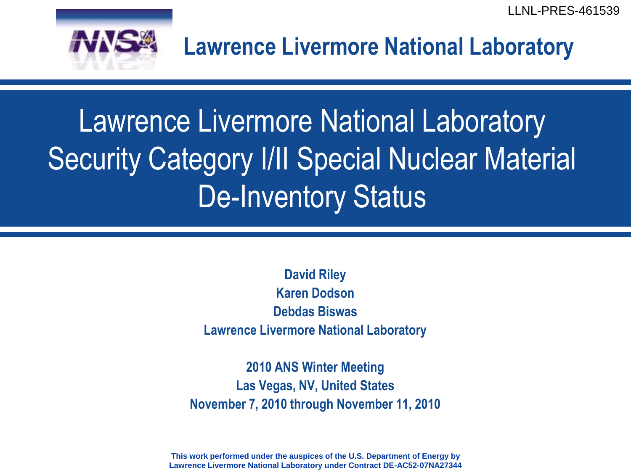LLNL-PRES-461539



**Lawrence Livermore National Laboratory**

# Lawrence Livermore National Laboratory Security Category I/II Special Nuclear Material De-Inventory Status

**David Riley Karen Dodson Debdas Biswas Lawrence Livermore National Laboratory**

**2010 ANS Winter Meeting Las Vegas, NV, United States November 7, 2010 through November 11, 2010**

**This work performed under the auspices of the U.S. Department of Energy by Lawrence Livermore National Laboratory under Contract DE-AC52-07NA27344**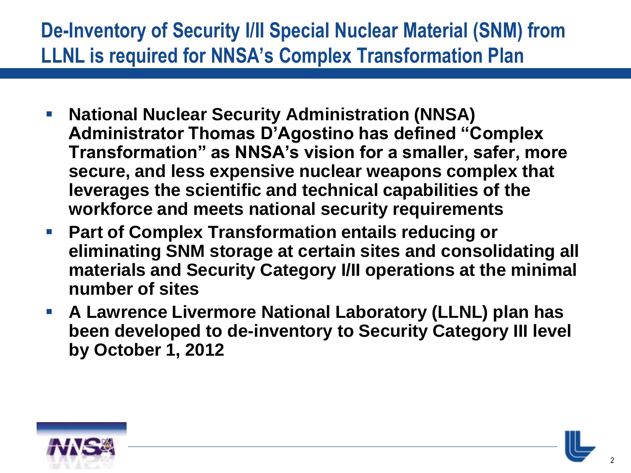# **De-Inventory of Security I/II Special Nuclear Material (SNM) from LLNL is required for NNSA's Complex Transformation Plan**

- **National Nuclear Security Administration (NNSA) Administrator Thomas D'Agostino has defined "Complex Transformation" as NNSA's vision for a smaller, safer, more secure, and less expensive nuclear weapons complex that leverages the scientific and technical capabilities of the workforce and meets national security requirements**
- **Part of Complex Transformation entails reducing or eliminating SNM storage at certain sites and consolidating all materials and Security Category I/II operations at the minimal number of sites**
- **A Lawrence Livermore National Laboratory (LLNL) plan has been developed to de-inventory to Security Category III level by October 1, 2012**



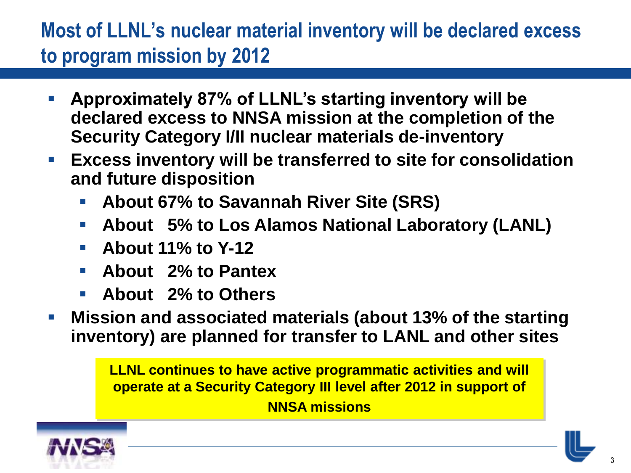# **Most of LLNL's nuclear material inventory will be declared excess to program mission by 2012**

- **Approximately 87% of LLNL's starting inventory will be declared excess to NNSA mission at the completion of the Security Category I/II nuclear materials de-inventory**
- **Excess inventory will be transferred to site for consolidation and future disposition**
	- **About 67% to Savannah River Site (SRS)**
	- **About 5% to Los Alamos National Laboratory (LANL)**
	- **About 11% to Y-12**
	- **About 2% to Pantex**
	- **About 2% to Others**
- **Mission and associated materials (about 13% of the starting inventory) are planned for transfer to LANL and other sites**

**LLNL continues to have active programmatic activities and will operate at a Security Category III level after 2012 in support of NNSA missions**



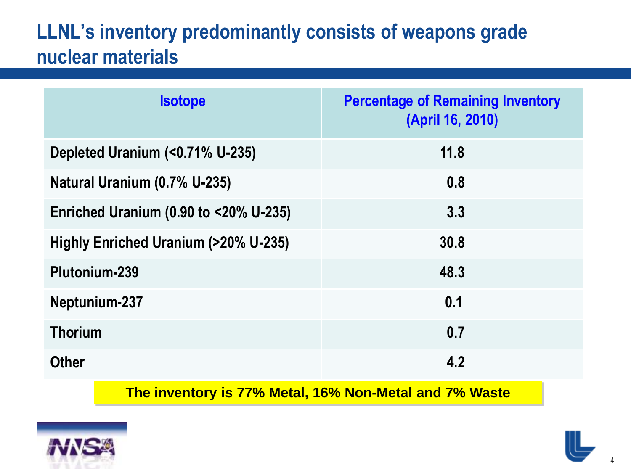## **LLNL's inventory predominantly consists of weapons grade nuclear materials**

| <b>Isotope</b>                        | <b>Percentage of Remaining Inventory</b><br>(April 16, 2010) |
|---------------------------------------|--------------------------------------------------------------|
| Depleted Uranium (<0.71% U-235)       | 11.8                                                         |
| Natural Uranium (0.7% U-235)          | 0.8                                                          |
| Enriched Uranium (0.90 to <20% U-235) | 3.3                                                          |
| Highly Enriched Uranium (>20% U-235)  | 30.8                                                         |
| Plutonium-239                         | 48.3                                                         |
| Neptunium-237                         | 0.1                                                          |
| <b>Thorium</b>                        | 0.7                                                          |
| <b>Other</b>                          | 4.2                                                          |

**The inventory is 77% Metal, 16% Non-Metal and 7% Waste**



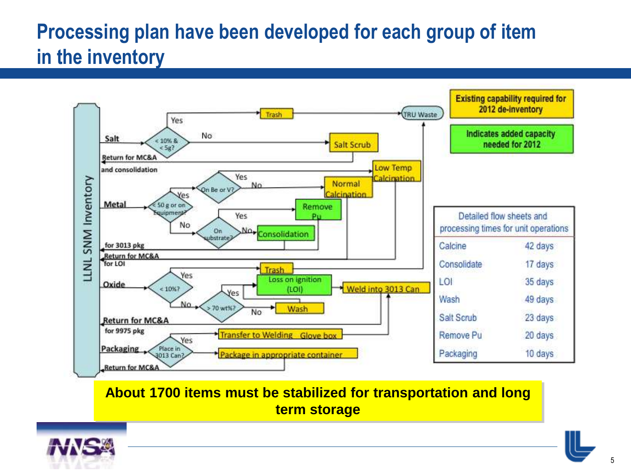# **Processing plan have been developed for each group of item in the inventory**



**About 1700 items must be stabilized for transportation and long term storage**



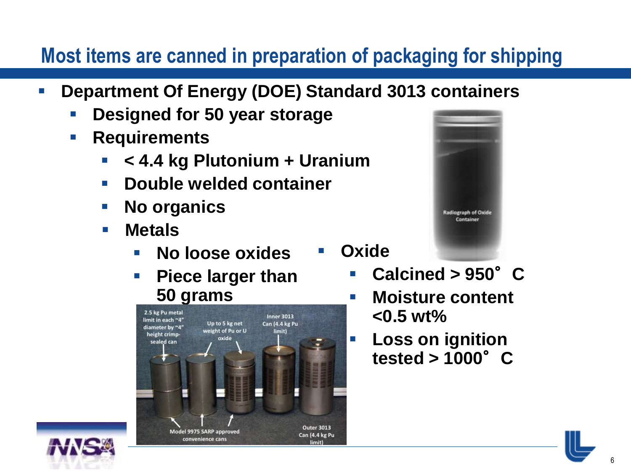## **Most items are canned in preparation of packaging for shipping**

- **Department Of Energy (DOE) Standard 3013 containers**
	- **Designed for 50 year storage**
	- **Requirements** 
		- **< 4.4 kg Plutonium + Uranium**
		- **E** Double welded container
		- No organics
		- **Metals**
			- **No loose oxides**
			- **Piece larger than 50 grams**





- **Oxide Calcined > 950**°**C**
	- **Moisture content <0.5 wt%**
	- **Loss on ignition tested > 1000**°**C**



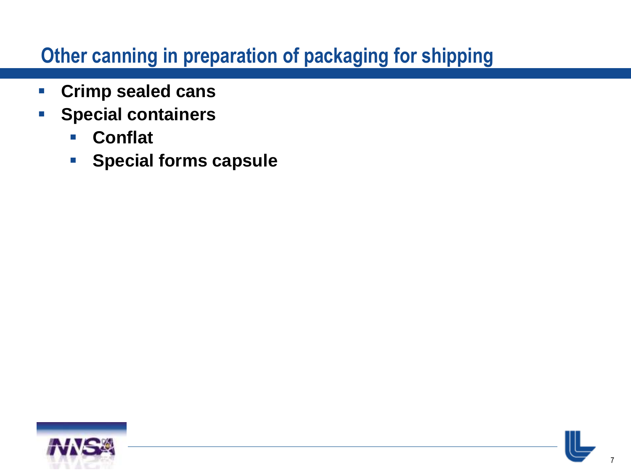#### **Other canning in preparation of packaging for shipping**

- **Crimp sealed cans**
- **Special containers**
	- **Conflat**
	- **Special forms capsule**



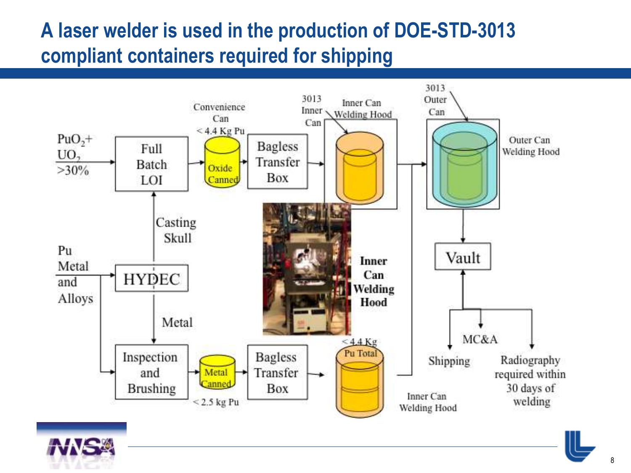# **A laser welder is used in the production of DOE-STD-3013 compliant containers required for shipping**





8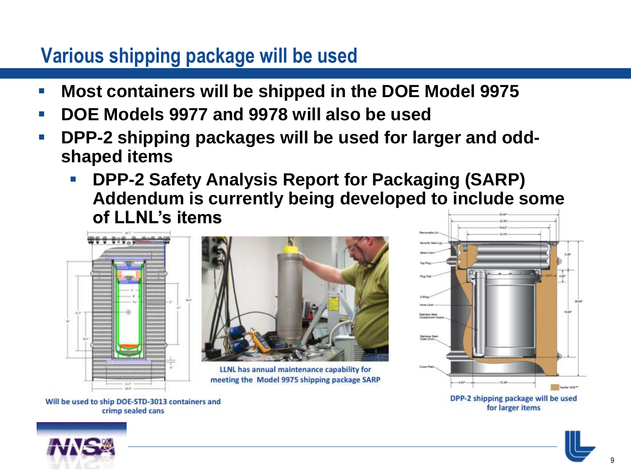## **Various shipping package will be used**

- **Most containers will be shipped in the DOE Model 9975**
- **DOE Models 9977 and 9978 will also be used**
- **DPP-2 shipping packages will be used for larger and oddshaped items**
	- **DPP-2 Safety Analysis Report for Packaging (SARP) Addendum is currently being developed to include some of LLNL's items**



Will be used to ship DOE-STD-3013 containers and

crimp sealed cans



LLNL has annual maintenance capability for meeting the Model 9975 shipping package SARP



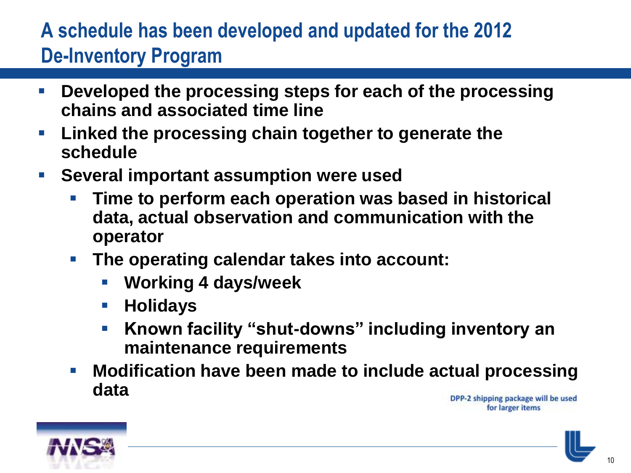# **A schedule has been developed and updated for the 2012 De-Inventory Program**

- **Developed the processing steps for each of the processing chains and associated time line**
- **Linked the processing chain together to generate the schedule**
- **Several important assumption were used**
	- **Time to perform each operation was based in historical data, actual observation and communication with the operator**
	- **The operating calendar takes into account:**
		- **Working 4 days/week**
		- **Holidays**
		- **Known facility "shut-downs" including inventory an maintenance requirements**
	- **Modification have been made to include actual processing data**



DPP-2 shipping package will be used for larger items

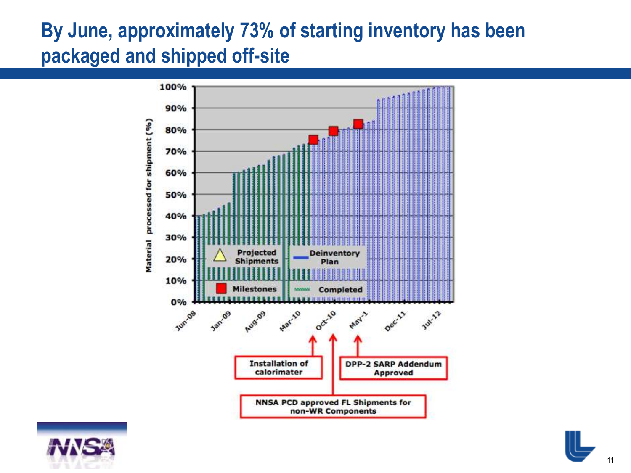## **By June, approximately 73% of starting inventory has been packaged and shipped off-site**





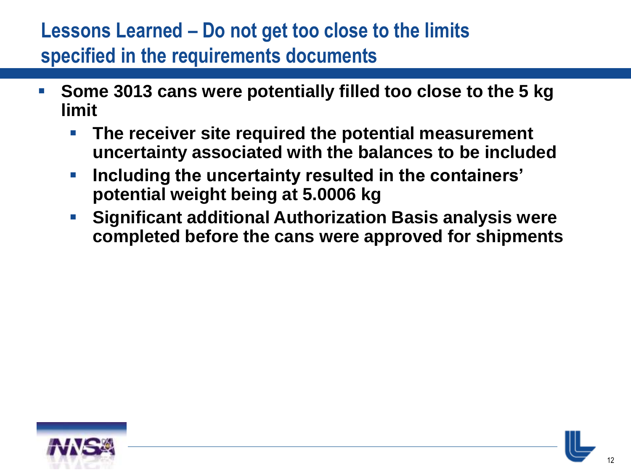## **Lessons Learned – Do not get too close to the limits specified in the requirements documents**

- **Some 3013 cans were potentially filled too close to the 5 kg limit**
	- **The receiver site required the potential measurement uncertainty associated with the balances to be included**
	- **Including the uncertainty resulted in the containers' potential weight being at 5.0006 kg**
	- **Significant additional Authorization Basis analysis were completed before the cans were approved for shipments**



12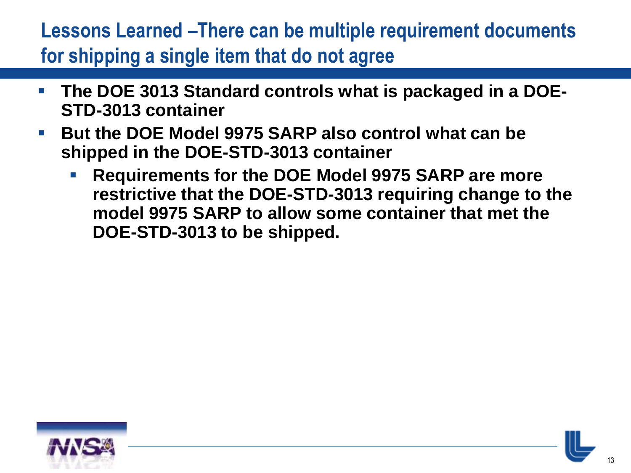# **Lessons Learned –There can be multiple requirement documents for shipping a single item that do not agree**

- **The DOE 3013 Standard controls what is packaged in a DOE-STD-3013 container**
- **But the DOE Model 9975 SARP also control what can be shipped in the DOE-STD-3013 container**
	- **Requirements for the DOE Model 9975 SARP are more restrictive that the DOE-STD-3013 requiring change to the model 9975 SARP to allow some container that met the DOE-STD-3013 to be shipped.**



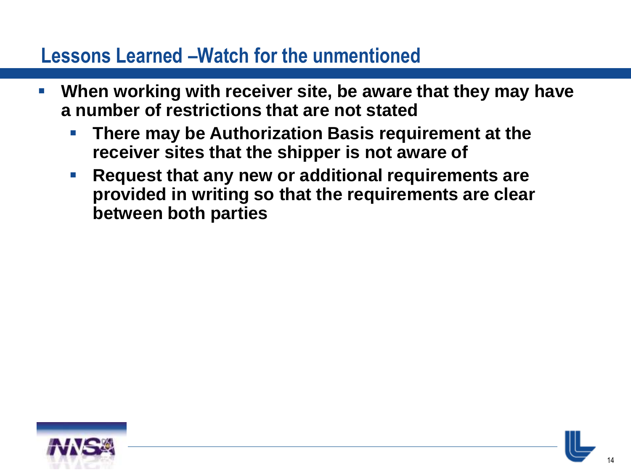#### **Lessons Learned –Watch for the unmentioned**

- **When working with receiver site, be aware that they may have a number of restrictions that are not stated**
	- **There may be Authorization Basis requirement at the receiver sites that the shipper is not aware of**
	- **Request that any new or additional requirements are provided in writing so that the requirements are clear between both parties**



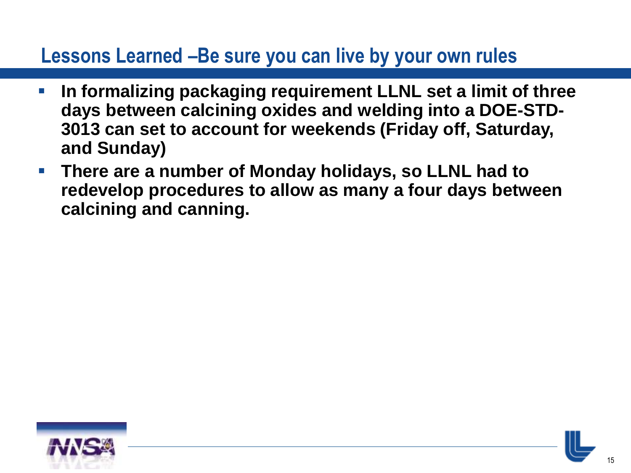#### **Lessons Learned –Be sure you can live by your own rules**

- **In formalizing packaging requirement LLNL set a limit of three days between calcining oxides and welding into a DOE-STD-3013 can set to account for weekends (Friday off, Saturday, and Sunday)**
- **There are a number of Monday holidays, so LLNL had to redevelop procedures to allow as many a four days between calcining and canning.**